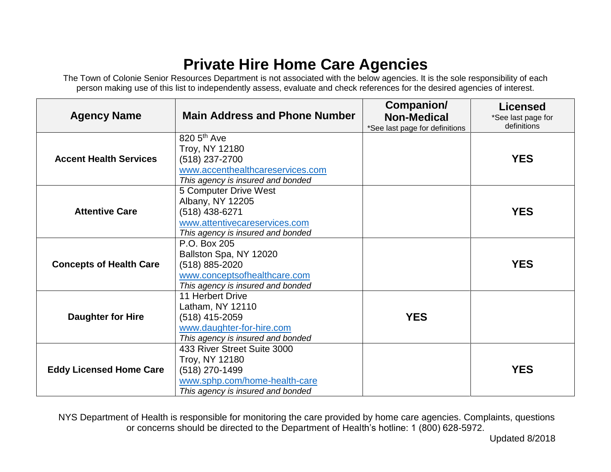## **Private Hire Home Care Agencies**

The Town of Colonie Senior Resources Department is not associated with the below agencies. It is the sole responsibility of each person making use of this list to independently assess, evaluate and check references for the desired agencies of interest.

| <b>Agency Name</b>             | <b>Main Address and Phone Number</b>                                                                                                  | Companion/<br><b>Non-Medical</b><br>*See last page for definitions | <b>Licensed</b><br>*See last page for<br>definitions |
|--------------------------------|---------------------------------------------------------------------------------------------------------------------------------------|--------------------------------------------------------------------|------------------------------------------------------|
| <b>Accent Health Services</b>  | 820 5 <sup>th</sup> Ave<br>Troy, NY 12180                                                                                             |                                                                    |                                                      |
|                                | $(518)$ 237-2700<br>www.accenthealthcareservices.com<br>This agency is insured and bonded                                             |                                                                    | <b>YES</b>                                           |
| <b>Attentive Care</b>          | 5 Computer Drive West<br>Albany, NY 12205<br>(518) 438-6271<br>www.attentivecareservices.com<br>This agency is insured and bonded     |                                                                    | <b>YES</b>                                           |
| <b>Concepts of Health Care</b> | P.O. Box 205<br>Ballston Spa, NY 12020<br>(518) 885-2020<br>www.conceptsofhealthcare.com<br>This agency is insured and bonded         |                                                                    | <b>YES</b>                                           |
| <b>Daughter for Hire</b>       | 11 Herbert Drive<br>Latham, NY 12110<br>$(518)$ 415-2059<br>www.daughter-for-hire.com<br>This agency is insured and bonded            | <b>YES</b>                                                         |                                                      |
| <b>Eddy Licensed Home Care</b> | 433 River Street Suite 3000<br>Troy, NY 12180<br>(518) 270-1499<br>www.sphp.com/home-health-care<br>This agency is insured and bonded |                                                                    | <b>YES</b>                                           |

NYS Department of Health is responsible for monitoring the care provided by home care agencies. Complaints, questions or concerns should be directed to the Department of Health's hotline: 1 (800) 628-5972.

Updated 8/2018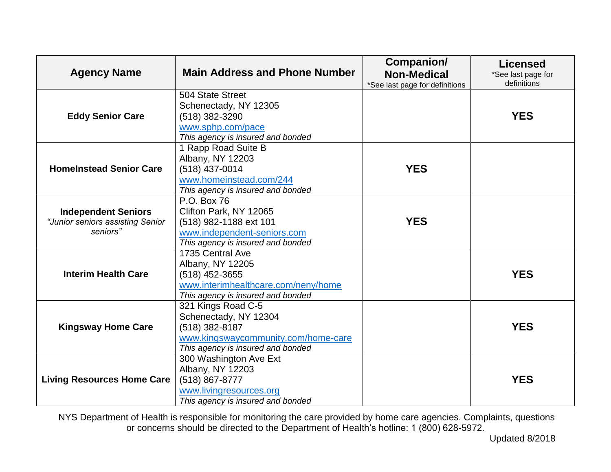| <b>Agency Name</b>                                                         | <b>Main Address and Phone Number</b>                                                                                                      | Companion/<br><b>Non-Medical</b><br>*See last page for definitions | <b>Licensed</b><br>*See last page for<br>definitions |
|----------------------------------------------------------------------------|-------------------------------------------------------------------------------------------------------------------------------------------|--------------------------------------------------------------------|------------------------------------------------------|
| <b>Eddy Senior Care</b>                                                    | 504 State Street<br>Schenectady, NY 12305<br>(518) 382-3290<br>www.sphp.com/pace<br>This agency is insured and bonded                     |                                                                    | <b>YES</b>                                           |
| <b>HomeInstead Senior Care</b>                                             | 1 Rapp Road Suite B<br>Albany, NY 12203<br>(518) 437-0014<br>www.homeinstead.com/244<br>This agency is insured and bonded                 | <b>YES</b>                                                         |                                                      |
| <b>Independent Seniors</b><br>"Junior seniors assisting Senior<br>seniors" | P.O. Box 76<br>Clifton Park, NY 12065<br>(518) 982-1188 ext 101<br>www.independent-seniors.com<br>This agency is insured and bonded       | <b>YES</b>                                                         |                                                      |
| <b>Interim Health Care</b>                                                 | 1735 Central Ave<br>Albany, NY 12205<br>(518) 452-3655<br>www.interimhealthcare.com/neny/home<br>This agency is insured and bonded        |                                                                    | <b>YES</b>                                           |
| <b>Kingsway Home Care</b>                                                  | 321 Kings Road C-5<br>Schenectady, NY 12304<br>(518) 382-8187<br>www.kingswaycommunity.com/home-care<br>This agency is insured and bonded |                                                                    | <b>YES</b>                                           |
| <b>Living Resources Home Care</b>                                          | 300 Washington Ave Ext<br>Albany, NY 12203<br>(518) 867-8777<br>www.livingresources.org<br>This agency is insured and bonded              |                                                                    | <b>YES</b>                                           |

NYS Department of Health is responsible for monitoring the care provided by home care agencies. Complaints, questions or concerns should be directed to the Department of Health's hotline: 1 (800) 628-5972.